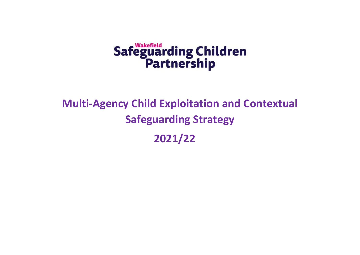# Safeguarding Children<br>Partnership

# **Multi-Agency Child Exploitation and Contextual Safeguarding Strategy 2021/22**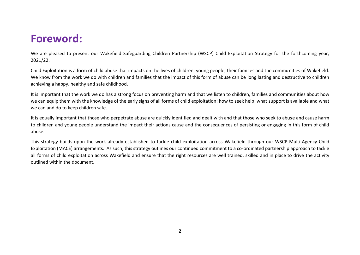# **Foreword:**

We are pleased to present our Wakefield Safeguarding Children Partnership (WSCP) Child Exploitation Strategy for the forthcoming year, 2021/22.

Child Exploitation is a form of child abuse that impacts on the lives of children, young people, their families and the communities of Wakefield. We know from the work we do with children and families that the impact of this form of abuse can be long lasting and destructive to children achieving a happy, healthy and safe childhood.

It is important that the work we do has a strong focus on preventing harm and that we listen to children, families and communities about how we can equip them with the knowledge of the early signs of all forms of child exploitation; how to seek help; what support is available and what we can and do to keep children safe.

It is equally important that those who perpetrate abuse are quickly identified and dealt with and that those who seek to abuse and cause harm to children and young people understand the impact their actions cause and the consequences of persisting or engaging in this form of child abuse.

This strategy builds upon the work already established to tackle child exploitation across Wakefield through our WSCP Multi-Agency Child Exploitation (MACE) arrangements. As such, this strategy outlines our continued commitment to a co-ordinated partnership approach to tackle all forms of child exploitation across Wakefield and ensure that the right resources are well trained, skilled and in place to drive the activity outlined within the document.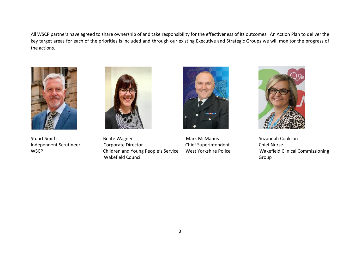All WSCP partners have agreed to share ownership of and take responsibility for the effectiveness of its outcomes. An Action Plan to deliver the key target areas for each of the priorities is included and through our existing Executive and Strategic Groups we will monitor the progress of the actions.





Stuart Smith **Suzannah Cookson** Beate Wagner **Mark McManus** Mark McManus Suzannah Cookson Independent Scrutineer Corporate Director Chief Superintendent Chief Nurse WSCP Children and Young People's Service West Yorkshire Police Wakefield Clinical Commissioning Wakefield Council and Council Group



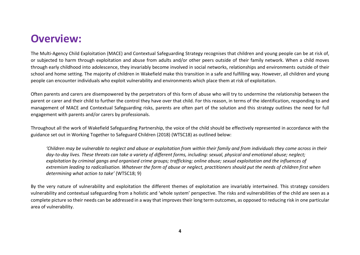## **Overview:**

The Multi-Agency Child Exploitation (MACE) and Contextual Safeguarding Strategy recognises that children and young people can be at risk of, or subjected to harm through exploitation and abuse from adults and/or other peers outside of their family network. When a child moves through early childhood into adolescence, they invariably become involved in social networks, relationships and environments outside of their school and home setting. The majority of children in Wakefield make this transition in a safe and fulfilling way. However, all children and young people can encounter individuals who exploit vulnerability and environments which place them at risk of exploitation.

Often parents and carers are disempowered by the perpetrators of this form of abuse who will try to undermine the relationship between the parent or carer and their child to further the control they have over that child. For this reason, in terms of the identification, responding to and management of MACE and Contextual Safeguarding risks, parents are often part of the solution and this strategy outlines the need for full engagement with parents and/or carers by professionals.

Throughout all the work of Wakefield Safeguarding Partnership, the voice of the child should be effectively represented in accordance with the guidance set out in Working Together to Safeguard Children (2018) (WTSC18) as outlined below:

*'Children may be vulnerable to neglect and abuse or exploitation from within their family and from individuals they come across in their day-to-day lives. These threats can take a variety of different forms, including: sexual, physical and emotional abuse; neglect; exploitation by criminal gangs and organised crime groups; trafficking; online abuse; sexual exploitation and the influences of extremism leading to radicalisation. Whatever the form of abuse or neglect, practitioners should put the needs of children first when determining what action to take'* (WTSC18; 9)

By the very nature of vulnerability and exploitation the different themes of exploitation are invariably intertwined. This strategy considers vulnerability and contextual safeguarding from a holistic and 'whole system' perspective. The risks and vulnerabilities of the child are seen as a complete picture so their needs can be addressed in a way that improves their long term outcomes, as opposed to reducing risk in one particular area of vulnerability.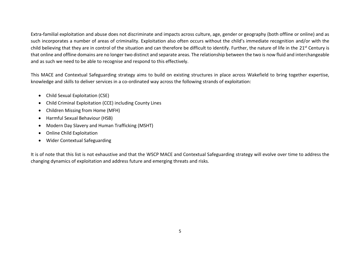Extra-familial exploitation and abuse does not discriminate and impacts across culture, age, gender or geography (both offline or online) and as such incorporates a number of areas of criminality. Exploitation also often occurs without the child's immediate recognition and/or with the child believing that they are in control of the situation and can therefore be difficult to identify. Further, the nature of life in the 21<sup>st</sup> Century is that online and offline domains are no longer two distinct and separate areas. The relationship between the two is now fluid and interchangeable and as such we need to be able to recognise and respond to this effectively.

This MACE and Contextual Safeguarding strategy aims to build on existing structures in place across Wakefield to bring together expertise, knowledge and skills to deliver services in a co-ordinated way across the following strands of exploitation:

- Child Sexual Exploitation (CSE)
- Child Criminal Exploitation (CCE) including County Lines
- Children Missing from Home (MFH)
- Harmful Sexual Behaviour (HSB)
- Modern Day Slavery and Human Trafficking (MSHT)
- Online Child Exploitation
- Wider Contextual Safeguarding

It is of note that this list is not exhaustive and that the WSCP MACE and Contextual Safeguarding strategy will evolve over time to address the changing dynamics of exploitation and address future and emerging threats and risks.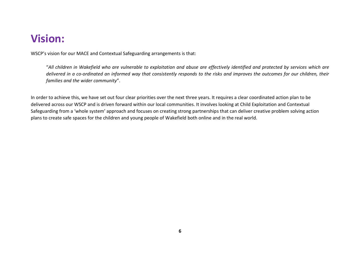# **Vision:**

WSCP's vision for our MACE and Contextual Safeguarding arrangements is that:

"*All children in Wakefield who are vulnerable to exploitation and abuse are effectively identified and protected by services which are delivered in a co-ordinated an informed way that consistently responds to the risks and improves the outcomes for our children, their families and the wider community*".

In order to achieve this, we have set out four clear priorities over the next three years. It requires a clear coordinated action plan to be delivered across our WSCP and is driven forward within our local communities. It involves looking at Child Exploitation and Contextual Safeguarding from a 'whole system' approach and focuses on creating strong partnerships that can deliver creative problem solving action plans to create safe spaces for the children and young people of Wakefield both online and in the real world.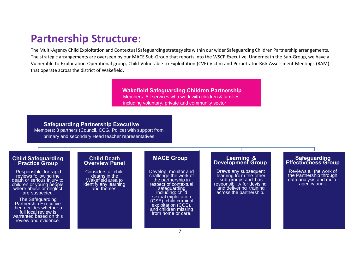# **Partnership Structure:**

The Multi-Agency Child Exploitation and Contextual Safeguarding strategy sits within our wider Safeguarding Children Partnership arrangements. The strategic arrangements are overseen by our MACE Sub-Group that reports into the WSCP Executive. Underneath the Sub-Group, we have a Vulnerable to Exploitation Operational group, Child Vulnerable to Exploitation (CVE) Victim and Perpetrator Risk Assessment Meetings (RAM) that operate across the district of Wakefield.

> **Wakefield Safeguarding Children Partnership**  Members: All services who work with children & families, including voluntary, private and community sector

**Safeguarding Partnership Executive** Members: 3 partners (Council, CCG, Police) with support from primary and secondary Head teacher representatives

#### **Child Safeguarding Practice Group**

Responsible for rapid reviews following the death or serious injury to children or young people where abuse or neglect are suspected.

The Safeguarding Partnership Executive then decides whether a full local review is warranted based on this review and evidence.

#### **Child Death Overview Panel**

Considers all child deaths in the Wakefield area to identify any learning and themes.

## **MACE Group**

Develop, monitor and challenge the work of the partnership in respect of contextual safeguarding including: child sexual exploitation (CSE), child criminal exploitation (CCE), and children missing from home or care.

#### **Learning & Development Group**

Draws any subsequent learning fro m the other sub-groups and has responsibility for devising and delivering training across the partnership.

#### **Safeguarding Effectiveness Group**

Reviews all the work of the Partnership through data analysis and multi agency audit.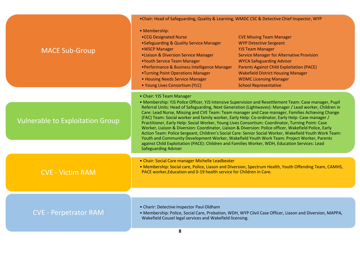|                                         | . Chair: Head of Safeguarding, Quality & Learning, WMDC CSC & Detective Chief Inspector, WYP                                                                                                                                                                                                                                                                                                                                                                                                                                                                                                                                                                                                                                                                                                                                                                                                                                                       |                                                                                                                                                                                                                                                                                                                                                       |  |  |
|-----------------------------------------|----------------------------------------------------------------------------------------------------------------------------------------------------------------------------------------------------------------------------------------------------------------------------------------------------------------------------------------------------------------------------------------------------------------------------------------------------------------------------------------------------------------------------------------------------------------------------------------------------------------------------------------------------------------------------------------------------------------------------------------------------------------------------------------------------------------------------------------------------------------------------------------------------------------------------------------------------|-------------------------------------------------------------------------------------------------------------------------------------------------------------------------------------------------------------------------------------------------------------------------------------------------------------------------------------------------------|--|--|
| <b>MACE Sub-Group</b>                   | • Membership:<br>.CCG Designated Nurse<br>•Safeguarding & Quality Service Manager<br>• WSCP Manager<br>• Liaison & Diversion Service Manager<br>•Youth Service Team Manager<br>•Performance & Business Intelligence Manager<br>•Turning Point Operations Manager<br>• Housing Needs Service Manager<br>• Young Lives Consortium (YLC)                                                                                                                                                                                                                                                                                                                                                                                                                                                                                                                                                                                                              | <b>CVE Missing Team Manager</b><br><b>WYP Detective Sergeant</b><br><b>YJS Team Manager</b><br><b>Service Manager for Alternative Provision</b><br><b>WYCA Safeguarding Advisor</b><br><b>Parents Against Child Exploitation (PACE)</b><br><b>Wakefield District Housing Manager</b><br><b>WDMC Licensing Manager</b><br><b>School Representative</b> |  |  |
|                                         | • Chair: YJS Team Manager                                                                                                                                                                                                                                                                                                                                                                                                                                                                                                                                                                                                                                                                                                                                                                                                                                                                                                                          |                                                                                                                                                                                                                                                                                                                                                       |  |  |
| <b>Vulnerable to Exploitation Group</b> | • Membership: YJS Police Officer, YJS Intensive Supervision and Resettlement Team: Case manager, Pupil<br>Referral Units: Head of Safeguarding, Next Generation (Lightwaves): Manager / Lead worker, Children in<br>Care: Lead Nurse, Missing and CVE Team: Team manager and Case manager, Families Achieving Change<br>(FAC) Team: Social worker and family worker, Early Help: Co-ordinator, Early Help: Case manager /<br>Practitioner, Early Help: Social Worker, Young Lives Consortium: Coordinator, Turning Point: Case<br>Worker, Liaison & Diversion: Coordinator, Liaison & Diversion: Police officer, Wakefield Police, Early<br>Action Team: Police Sergeant, Children's Social Care: Senior Social Worker, Wakefield Youth Work Team:<br>Youth and Community Development Worker, Wakefield Youth Work Team: Project Worker, Parents<br>against Child Exploitation (PACE): Children and Families Worker, WDH, Education Services: Lead |                                                                                                                                                                                                                                                                                                                                                       |  |  |
|                                         | <b>Safeguarding Adviser</b>                                                                                                                                                                                                                                                                                                                                                                                                                                                                                                                                                                                                                                                                                                                                                                                                                                                                                                                        |                                                                                                                                                                                                                                                                                                                                                       |  |  |
| <b>CVE - Victim RAM</b>                 | • Chair: Social Care manager Michelle Leadbeater<br>. Membership: Social care, Police, Liason and Diversion, Spectrum Health, Youth Offending Team, CAMHS,<br>PACE worker, Education and 0-19 health service for Children in Care.                                                                                                                                                                                                                                                                                                                                                                                                                                                                                                                                                                                                                                                                                                                 |                                                                                                                                                                                                                                                                                                                                                       |  |  |
|                                         |                                                                                                                                                                                                                                                                                                                                                                                                                                                                                                                                                                                                                                                                                                                                                                                                                                                                                                                                                    |                                                                                                                                                                                                                                                                                                                                                       |  |  |
| <b>CVE - Perpetrator RAM</b>            | • Charir: Detective Inspector Paul Oldham<br>Wakefield Cousel legal services and Wakefield licensing.                                                                                                                                                                                                                                                                                                                                                                                                                                                                                                                                                                                                                                                                                                                                                                                                                                              | • Membership: Police, Social Care, Probation, WDH, WYP Cilvil Case Officer, Liason and Diversion, MAPPA,                                                                                                                                                                                                                                              |  |  |
|                                         |                                                                                                                                                                                                                                                                                                                                                                                                                                                                                                                                                                                                                                                                                                                                                                                                                                                                                                                                                    |                                                                                                                                                                                                                                                                                                                                                       |  |  |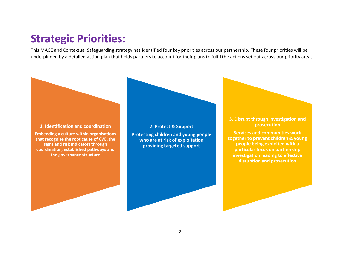# **Strategic Priorities:**

This MACE and Contextual Safeguarding strategy has identified four key priorities across our partnership. These four priorities will be underpinned by a detailed action plan that holds partners to account for their plans to fulfil the actions set out across our priority areas.



**Embedding a culture within organisations that recognise the root cause of CVE, the signs and risk indicators through coordination, established pathways and the governance structure**

**2. Protect & Support Protecting children and young people** 

**who are at risk of exploitation providing targeted support**

### **3. Disrupt through investigation and prosecution**

**Services and communities work together to prevent children & young people being exploited with a particular focus on partnership investigation leading to effective disruption and prosecution**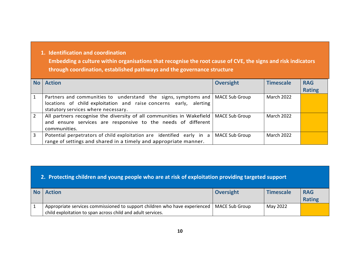## **1. Identification and coordination**

**Embedding a culture within organisations that recognise the root cause of CVE, the signs and risk indicators through coordination, established pathways and the governance structure**

|                | <b>No</b> Action                                                                                                                                                                             | <b>Oversight</b>      | <b>Timescale</b>  | <b>RAG</b>    |
|----------------|----------------------------------------------------------------------------------------------------------------------------------------------------------------------------------------------|-----------------------|-------------------|---------------|
|                |                                                                                                                                                                                              |                       |                   | <b>Rating</b> |
|                | Partners and communities to understand the signs, symptoms and   MACE Sub Group<br>locations of child exploitation and raise concerns early, alerting<br>statutory services where necessary. |                       | <b>March 2022</b> |               |
| $\overline{2}$ | All partners recognise the diversity of all communities in Wakefield  <br>and ensure services are responsive to the needs of different<br>communities.                                       | <b>MACE Sub Group</b> | <b>March 2022</b> |               |
| 3              | Potential perpetrators of child exploitation are identified early in a<br>range of settings and shared in a timely and appropriate manner.                                                   | <b>MACE Sub Group</b> | <b>March 2022</b> |               |

## **2. Protecting children and young people who are at risk of exploitation providing targeted support**

| No Action                                                                                   | Oversight | <b>Timescale</b> | <b>RAG</b>    |
|---------------------------------------------------------------------------------------------|-----------|------------------|---------------|
|                                                                                             |           |                  | <b>Rating</b> |
| Appropriate services commissioned to support children who have experienced   MACE Sub Group |           | May 2022         |               |
| child exploitation to span across child and adult services.                                 |           |                  |               |